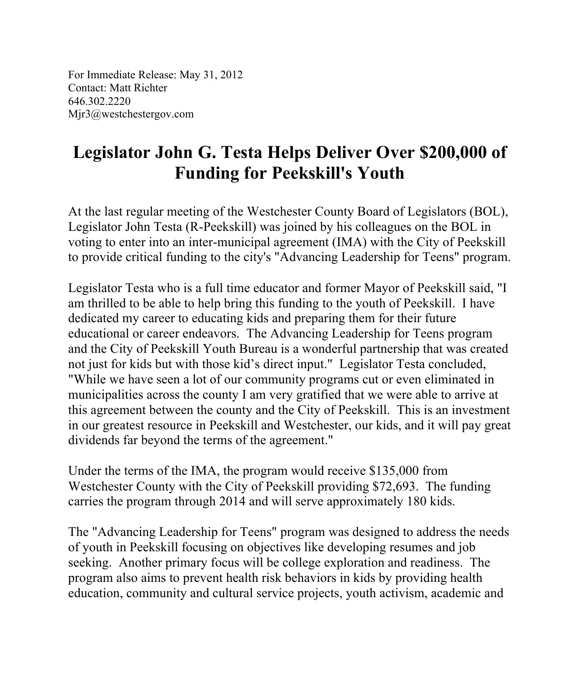For Immediate Release: May 31, 2012 Contact: Matt Richter 646.302.2220 Mjr3@westchestergov.com

## **Legislator John G. Testa Helps Deliver Over \$200,000 of Funding for Peekskill's Youth**

At the last regular meeting of the Westchester County Board of Legislators (BOL), Legislator John Testa (R-Peekskill) was joined by his colleagues on the BOL in voting to enter into an inter-municipal agreement (IMA) with the City of Peekskill to provide critical funding to the city's "Advancing Leadership for Teens" program.

Legislator Testa who is a full time educator and former Mayor of Peekskill said, "I am thrilled to be able to help bring this funding to the youth of Peekskill. I have dedicated my career to educating kids and preparing them for their future educational or career endeavors. The Advancing Leadership for Teens program and the City of Peekskill Youth Bureau is a wonderful partnership that was created not just for kids but with those kid's direct input." Legislator Testa concluded, "While we have seen a lot of our community programs cut or even eliminated in municipalities across the county I am very gratified that we were able to arrive at this agreement between the county and the City of Peekskill. This is an investment in our greatest resource in Peekskill and Westchester, our kids, and it will pay great dividends far beyond the terms of the agreement."

Under the terms of the IMA, the program would receive \$135,000 from Westchester County with the City of Peekskill providing \$72,693. The funding carries the program through 2014 and will serve approximately 180 kids.

The "Advancing Leadership for Teens" program was designed to address the needs of youth in Peekskill focusing on objectives like developing resumes and job seeking. Another primary focus will be college exploration and readiness. The program also aims to prevent health risk behaviors in kids by providing health education, community and cultural service projects, youth activism, academic and